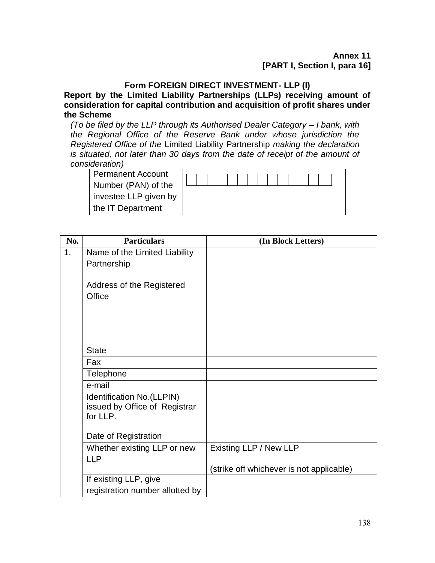### **Annex 11 [PART I, Section I, para 16]**

## **Form FOREIGN DIRECT INVESTMENT- LLP (I)**

**Report by the Limited Liability Partnerships (LLPs) receiving amount of consideration for capital contribution and acquisition of profit shares under the Scheme**

*(To be filed by the LLP through its Authorised Dealer Category – I bank, with the Regional Office of the Reserve Bank under whose jurisdiction the Registered Office of the* Limited Liability Partnership *making the declaration is situated, not later than 30 days from the date of receipt of the amount of consideration)*

| <b>Permanent Account</b> |  |  |  |  |  |  |  |  |
|--------------------------|--|--|--|--|--|--|--|--|
| Number (PAN) of the      |  |  |  |  |  |  |  |  |
| investee LLP given by    |  |  |  |  |  |  |  |  |
| the IT Department        |  |  |  |  |  |  |  |  |

| No.            | <b>Particulars</b>               | (In Block Letters)                       |
|----------------|----------------------------------|------------------------------------------|
| 1 <sub>1</sub> | Name of the Limited Liability    |                                          |
|                | Partnership                      |                                          |
|                |                                  |                                          |
|                | <b>Address of the Registered</b> |                                          |
|                | Office                           |                                          |
|                |                                  |                                          |
|                |                                  |                                          |
|                |                                  |                                          |
|                | <b>State</b>                     |                                          |
|                | Fax                              |                                          |
|                | Telephone                        |                                          |
|                | e-mail                           |                                          |
|                | Identification No. (LLPIN)       |                                          |
|                | issued by Office of Registrar    |                                          |
|                | for LLP.                         |                                          |
|                | Date of Registration             |                                          |
|                | Whether existing LLP or new      | Existing LLP / New LLP                   |
|                | <b>LLP</b>                       |                                          |
|                |                                  | (strike off whichever is not applicable) |
|                | If existing LLP, give            |                                          |
|                | registration number allotted by  |                                          |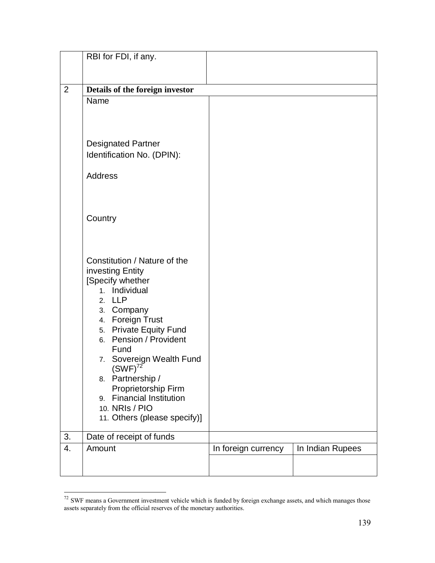|                | RBI for FDI, if any.                                                                                                                                                                                                                                                                                                                                                                      |                     |                  |
|----------------|-------------------------------------------------------------------------------------------------------------------------------------------------------------------------------------------------------------------------------------------------------------------------------------------------------------------------------------------------------------------------------------------|---------------------|------------------|
| $\overline{2}$ | Details of the foreign investor                                                                                                                                                                                                                                                                                                                                                           |                     |                  |
|                | Name                                                                                                                                                                                                                                                                                                                                                                                      |                     |                  |
|                | <b>Designated Partner</b><br>Identification No. (DPIN):<br><b>Address</b>                                                                                                                                                                                                                                                                                                                 |                     |                  |
|                | Country                                                                                                                                                                                                                                                                                                                                                                                   |                     |                  |
|                | Constitution / Nature of the<br>investing Entity<br>[Specify whether<br>1. Individual<br>2. LLP<br>3. Company<br>4. Foreign Trust<br><b>Private Equity Fund</b><br>5.<br>Pension / Provident<br>6.<br>Fund<br>7. Sovereign Wealth Fund<br>$(SWF)^{72}$<br>8. Partnership /<br>Proprietorship Firm<br><b>Financial Institution</b><br>9.<br>10. NRIs / PIO<br>11. Others (please specify)] |                     |                  |
| 3.             | Date of receipt of funds                                                                                                                                                                                                                                                                                                                                                                  |                     |                  |
| 4.             | Amount                                                                                                                                                                                                                                                                                                                                                                                    | In foreign currency | In Indian Rupees |
|                |                                                                                                                                                                                                                                                                                                                                                                                           |                     |                  |

 $72$  SWF means a Government investment vehicle which is funded by foreign exchange assets, and which manages those assets separately from the official reserves of the monetary authorities.

 $\overline{a}$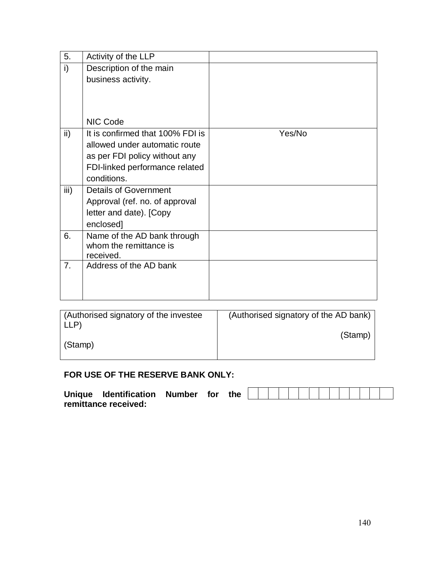| 5.              | Activity of the LLP              |        |
|-----------------|----------------------------------|--------|
| i)              | Description of the main          |        |
|                 | business activity.               |        |
|                 |                                  |        |
|                 |                                  |        |
|                 |                                  |        |
|                 | NIC Code                         |        |
| $\mathsf{ii}$ ) | It is confirmed that 100% FDI is | Yes/No |
|                 | allowed under automatic route    |        |
|                 | as per FDI policy without any    |        |
|                 | FDI-linked performance related   |        |
|                 | conditions.                      |        |
| iii)            | <b>Details of Government</b>     |        |
|                 | Approval (ref. no. of approval   |        |
|                 | letter and date). [Copy          |        |
|                 | enclosed]                        |        |
| 6.              | Name of the AD bank through      |        |
|                 | whom the remittance is           |        |
|                 | received.                        |        |
| 7.              | Address of the AD bank           |        |
|                 |                                  |        |
|                 |                                  |        |

| (Authorised signatory of the investee)<br>LLP | (Authorised signatory of the AD bank) |
|-----------------------------------------------|---------------------------------------|
| (Stamp)                                       | (Stamp)                               |

## **FOR USE OF THE RESERVE BANK ONLY:**

| Unique Identification | Number for | the |  |  |  |  |  |  |  |
|-----------------------|------------|-----|--|--|--|--|--|--|--|
| remittance received:  |            |     |  |  |  |  |  |  |  |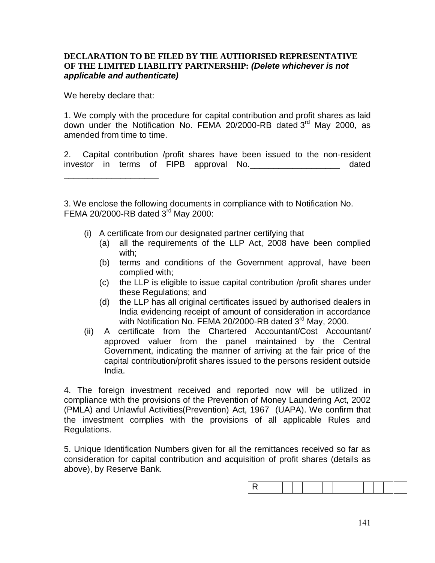#### **DECLARATION TO BE FILED BY THE AUTHORISED REPRESENTATIVE OF THE LIMITED LIABILITY PARTNERSHIP:** *(Delete whichever is not applicable and authenticate)*

We hereby declare that:

\_\_\_\_\_\_\_\_\_\_\_\_\_\_\_\_\_\_\_\_

1. We comply with the procedure for capital contribution and profit shares as laid down under the Notification No. FEMA 20/2000-RB dated 3<sup>rd</sup> May 2000, as amended from time to time.

2. Capital contribution /profit shares have been issued to the non-resident investor in terms of FIPB approval No.\_\_\_\_\_\_\_\_\_\_\_\_\_\_\_\_\_\_\_ dated

3. We enclose the following documents in compliance with to Notification No. FEMA 20/2000-RB dated  $3<sup>rd</sup>$  May 2000:

- (i) A certificate from our designated partner certifying that
	- (a) all the requirements of the LLP Act, 2008 have been complied with;
	- (b) terms and conditions of the Government approval, have been complied with;
	- (c) the LLP is eligible to issue capital contribution /profit shares under these Regulations; and
	- (d) the LLP has all original certificates issued by authorised dealers in India evidencing receipt of amount of consideration in accordance with Notification No. FEMA 20/2000-RB dated 3<sup>rd</sup> May, 2000.
- (ii) A certificate from the Chartered Accountant/Cost Accountant/ approved valuer from the panel maintained by the Central Government, indicating the manner of arriving at the fair price of the capital contribution/profit shares issued to the persons resident outside India.

4. The foreign investment received and reported now will be utilized in compliance with the provisions of the Prevention of Money Laundering Act, 2002 (PMLA) and Unlawful Activities(Prevention) Act, 1967 (UAPA). We confirm that the investment complies with the provisions of all applicable Rules and Regulations.

5. Unique Identification Numbers given for all the remittances received so far as consideration for capital contribution and acquisition of profit shares (details as above), by Reserve Bank.

|--|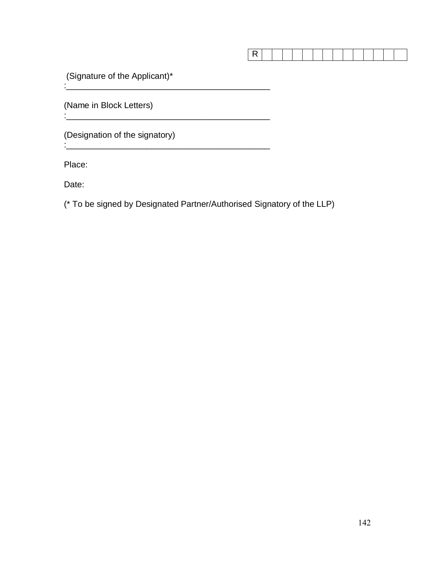|--|--|--|--|--|--|--|--|--|--|--|--|--|--|--|

(Signature of the Applicant)\* : where the contribution of the contribution of  $\mathcal{L}_\mathcal{L}$ 

(Name in Block Letters)

(Designation of the signatory)

Place:

:  $\sim$   $\sim$   $\sim$ 

Date:

(\* To be signed by Designated Partner/Authorised Signatory of the LLP)